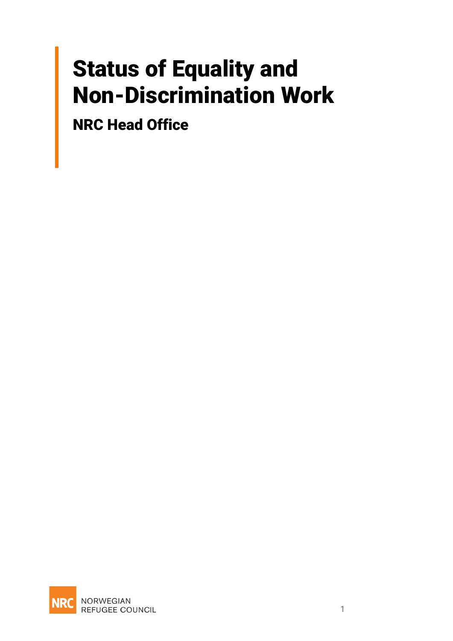## Status of Equality and Non-Discrimination Work

NRC Head Office

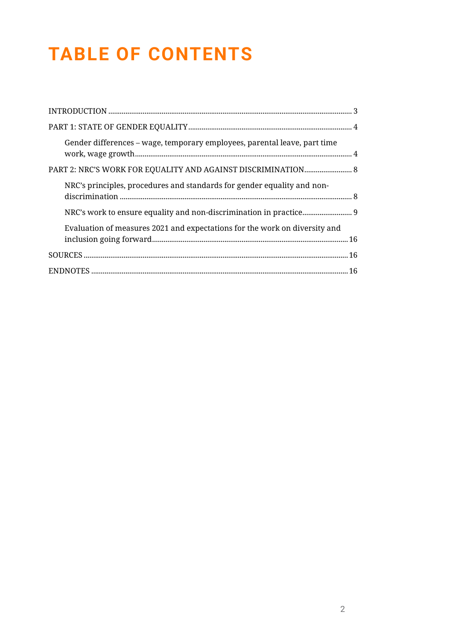## **TABLE OF CONTENTS**

| Gender differences – wage, temporary employees, parental leave, part time  |
|----------------------------------------------------------------------------|
| PART 2: NRC'S WORK FOR EQUALITY AND AGAINST DISCRIMINATION 8               |
| NRC's principles, procedures and standards for gender equality and non-    |
|                                                                            |
| Evaluation of measures 2021 and expectations for the work on diversity and |
|                                                                            |
|                                                                            |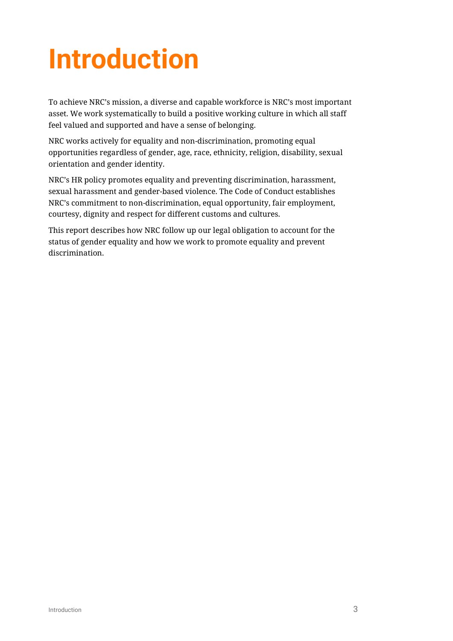# <span id="page-2-0"></span>**Introduction**

To achieve NRC's mission, a diverse and capable workforce is NRC's most important asset. We work systematically to build a positive working culture in which all staff feel valued and supported and have a sense of belonging.

NRC works actively for equality and non-discrimination, promoting equal opportunities regardless of gender, age, race, ethnicity, religion, disability, sexual orientation and gender identity.

NRC's HR policy promotes equality and preventing discrimination, harassment, sexual harassment and gender-based violence. The Code of Conduct establishes NRC's commitment to non-discrimination, equal opportunity, fair employment, courtesy, dignity and respect for different customs and cultures.

This report describes how NRC follow up our legal obligation to account for the status of gender equality and how we work to promote equality and prevent discrimination.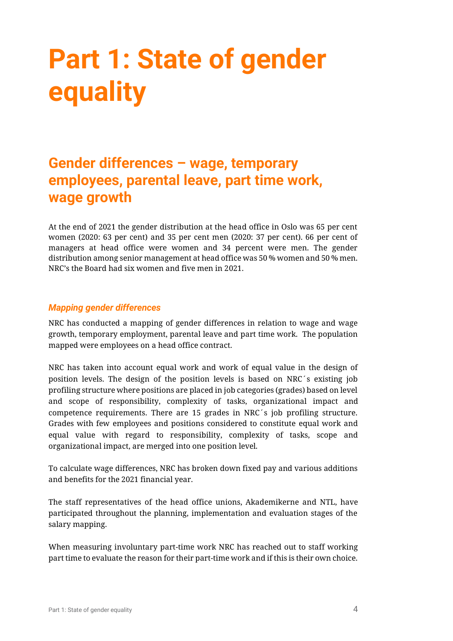## <span id="page-3-0"></span>**Part 1: State of gender equality**

### <span id="page-3-1"></span>**Gender differences – wage, temporary employees, parental leave, part time work, wage growth**

At the end of 2021 the gender distribution at the head office in Oslo was 65 per cent women (2020: 63 per cent) and 35 per cent men (2020: 37 per cent). 66 per cent of managers at head office were women and 34 percent were men. The gender distribution among senior management at head office was 50 % women and 50 % men. NRC's the Board had six women and five men in 2021.

#### *Mapping gender differences*

NRC has conducted a mapping of gender differences in relation to wage and wage growth, temporary employment, parental leave and part time work. The population mapped were employees on a head office contract.

NRC has taken into account equal work and work of equal value in the design of position levels. The design of the position levels is based on NRC´s existing job profiling structure where positions are placed in job categories (grades) based on level and scope of responsibility, complexity of tasks, organizational impact and competence requirements. There are 15 grades in NRC´s job profiling structure. Grades with few employees and positions considered to constitute equal work and equal value with regard to responsibility, complexity of tasks, scope and organizational impact, are merged into one position level.

To calculate wage differences, NRC has broken down fixed pay and various additions and benefits for the 2021 financial year.

The staff representatives of the head office unions, Akademikerne and NTL, have participated throughout the planning, implementation and evaluation stages of the salary mapping.

When measuring involuntary part-time work NRC has reached out to staff working part time to evaluate the reason for their part-time work and if this is their own choice.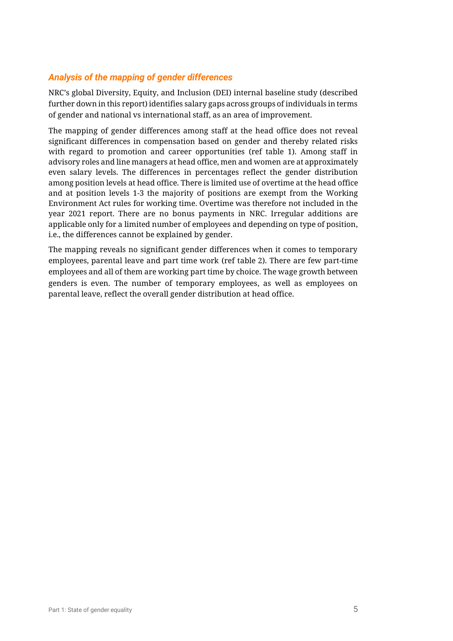#### *Analysis of the mapping of gender differences*

NRC's global Diversity, Equity, and Inclusion (DEI) internal baseline study (described further down in this report) identifies salary gaps across groups of individuals in terms of gender and national vs international staff, as an area of improvement.

The mapping of gender differences among staff at the head office does not reveal significant differences in compensation based on gender and thereby related risks with regard to promotion and career opportunities (ref table 1). Among staff in advisory roles and line managers at head office, men and women are at approximately even salary levels. The differences in percentages reflect the gender distribution among position levels at head office. There is limited use of overtime at the head office and at position levels 1-3 the majority of positions are exempt from the Working Environment Act rules for working time. Overtime was therefore not included in the year 2021 report. There are no bonus payments in NRC. Irregular additions are applicable only for a limited number of employees and depending on type of position, i.e., the differences cannot be explained by gender.

The mapping reveals no significant gender differences when it comes to temporary employees, parental leave and part time work (ref table 2). There are few part-time employees and all of them are working part time by choice. The wage growth between genders is even. The number of temporary employees, as well as employees on parental leave, reflect the overall gender distribution at head office.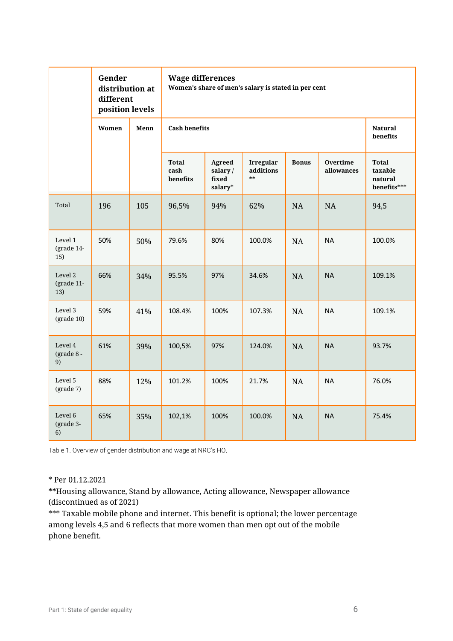|                              | Gender<br>distribution at<br>different<br>position levels |      | <b>Wage differences</b><br>Women's share of men's salary is stated in per cent |                                       |                                     |              |                               |                                                   |  |
|------------------------------|-----------------------------------------------------------|------|--------------------------------------------------------------------------------|---------------------------------------|-------------------------------------|--------------|-------------------------------|---------------------------------------------------|--|
|                              | Women                                                     | Menn | <b>Cash benefits</b>                                                           | <b>Natural</b><br>benefits            |                                     |              |                               |                                                   |  |
|                              |                                                           |      | <b>Total</b><br>cash<br>benefits                                               | Agreed<br>salary/<br>fixed<br>salary* | <b>Irregular</b><br>additions<br>** | <b>Bonus</b> | <b>Overtime</b><br>allowances | <b>Total</b><br>taxable<br>natural<br>benefits*** |  |
| Total                        | 196                                                       | 105  | 96,5%                                                                          | 94%                                   | 62%                                 | NA           | NA                            | 94,5                                              |  |
| Level 1<br>(grade 14-<br>15) | 50%                                                       | 50%  | 79.6%                                                                          | 80%                                   | 100.0%                              | <b>NA</b>    | <b>NA</b>                     | 100.0%                                            |  |
| Level 2<br>(grade 11-<br>13) | 66%                                                       | 34%  | 95.5%                                                                          | 97%                                   | 34.6%                               | <b>NA</b>    | <b>NA</b>                     | 109.1%                                            |  |
| Level 3<br>$(grade 10)$      | 59%                                                       | 41%  | 108.4%                                                                         | 100%                                  | 107.3%                              | <b>NA</b>    | <b>NA</b>                     | 109.1%                                            |  |
| Level 4<br>(grade 8 -<br>9)  | 61%                                                       | 39%  | 100,5%                                                                         | 97%                                   | 124.0%                              | <b>NA</b>    | <b>NA</b>                     | 93.7%                                             |  |
| Level 5<br>(grade 7)         | 88%                                                       | 12%  | 101.2%                                                                         | 100%                                  | 21.7%                               | <b>NA</b>    | <b>NA</b>                     | 76.0%                                             |  |
| Level 6<br>(grade 3-<br>6)   | 65%                                                       | 35%  | 102,1%                                                                         | 100%                                  | 100.0%                              | NA           | <b>NA</b>                     | 75.4%                                             |  |

Table 1. Overview of gender distribution and wage at NRC's HO.

#### \* Per 01.12.2021

**\*\***Housing allowance, Stand by allowance, Acting allowance, Newspaper allowance (discontinued as of 2021)

\*\*\* Taxable mobile phone and internet. This benefit is optional; the lower percentage among levels 4,5 and 6 reflects that more women than men opt out of the mobile phone benefit.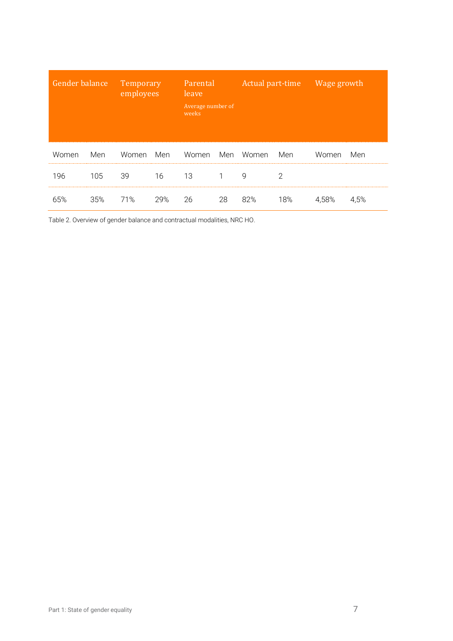| Gender balance |     | Temporary<br>employees |     | Parental<br>leave<br>Average number of<br>weeks |    | Actual part-time Wage growth |     |       |      |
|----------------|-----|------------------------|-----|-------------------------------------------------|----|------------------------------|-----|-------|------|
| Women          | Men | Women                  | Men | Women                                           |    | Men Women                    | Men | Women | Men  |
| 196            | 105 | 39                     | 16  | 13                                              | 1  | 9                            | 2   |       |      |
| 65%            | 35% | 71%                    | 29% | 26                                              | 28 | 82%                          | 18% | 4.58% | 4,5% |

Table 2. Overview of gender balance and contractual modalities, NRC HO.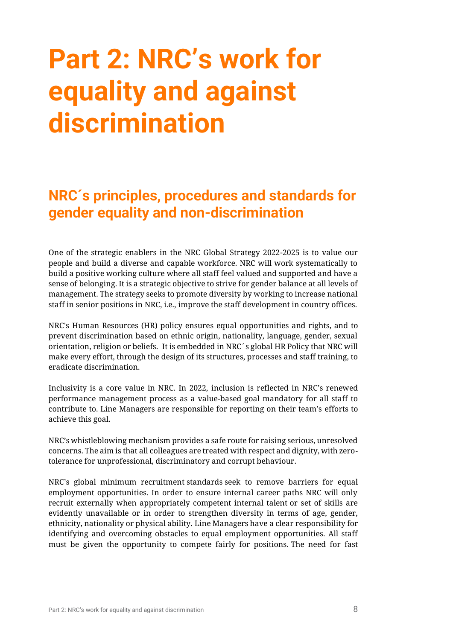## <span id="page-7-0"></span>**Part 2: NRC's work for equality and against discrimination**

### <span id="page-7-1"></span>**NRC´s principles, procedures and standards for gender equality and non-discrimination**

One of the strategic enablers in the NRC Global Strategy 2022-2025 is to value our people and build a diverse and capable workforce. NRC will work systematically to build a positive working culture where all staff feel valued and supported and have a sense of belonging. It is a strategic objective to strive for gender balance at all levels of management. The strategy seeks to promote diversity by working to increase national staff in senior positions in NRC, i.e., improve the staff development in country offices.

NRC's Human Resources (HR) policy ensures equal opportunities and rights, and to prevent discrimination based on ethnic origin, nationality, language, gender, sexual orientation, religion or beliefs. It is embedded in NRC´s global HR Policy that NRC will make every effort, through the design of its structures, processes and staff training, to eradicate discrimination.

Inclusivity is a core value in NRC. In 2022, inclusion is reflected in NRC's renewed performance management process as a value-based goal mandatory for all staff to contribute to. Line Managers are responsible for reporting on their team's efforts to achieve this goal.

NRC's whistleblowing mechanism provides a safe route for raising serious, unresolved concerns. The aim is that all colleagues are treated with respect and dignity, with zerotolerance for unprofessional, discriminatory and corrupt behaviour.

NRC's global minimum recruitment standards seek to remove barriers for equal employment opportunities. In order to ensure internal career paths NRC will only recruit externally when appropriately competent internal talent or set of skills are evidently unavailable or in order to strengthen diversity in terms of age, gender, ethnicity, nationality or physical ability. Line Managers have a clear responsibility for identifying and overcoming obstacles to equal employment opportunities. All staff must be given the opportunity to compete fairly for positions. The need for fast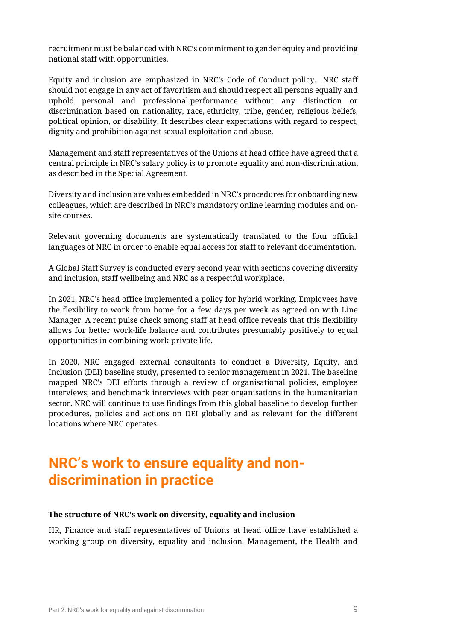recruitment must be balanced with NRC's commitment to gender equity and providing national staff with opportunities.

Equity and inclusion are emphasized in NRC's Code of Conduct policy. NRC staff should not engage in any act of favoritism and should respect all persons equally and uphold personal and professional performance without any distinction or discrimination based on nationality, race, ethnicity, tribe, gender, religious beliefs, political opinion, or disability. It describes clear expectations with regard to respect, dignity and prohibition against sexual exploitation and abuse.

Management and staff representatives of the Unions at head office have agreed that a central principle in NRC's salary policy is to promote equality and non-discrimination, as described in the Special Agreement.

Diversity and inclusion are values embedded in NRC's procedures for onboarding new colleagues, which are described in NRC's mandatory online learning modules and onsite courses.

Relevant governing documents are systematically translated to the four official languages of NRC in order to enable equal access for staff to relevant documentation.

A Global Staff Survey is conducted every second year with sections covering diversity and inclusion, staff wellbeing and NRC as a respectful workplace.

In 2021, NRC's head office implemented a policy for hybrid working. Employees have the flexibility to work from home for a few days per week as agreed on with Line Manager. A recent pulse check among staff at head office reveals that this flexibility allows for better work-life balance and contributes presumably positively to equal opportunities in combining work-private life.

In 2020, NRC engaged external consultants to conduct a Diversity, Equity, and Inclusion (DEI) baseline study, presented to senior management in 2021. The baseline mapped NRC's DEI efforts through a review of organisational policies, employee interviews, and benchmark interviews with peer organisations in the humanitarian sector. NRC will continue to use findings from this global baseline to develop further procedures, policies and actions on DEI globally and as relevant for the different locations where NRC operates.

### <span id="page-8-0"></span>**NRC's work to ensure equality and nondiscrimination in practice**

#### **The structure of NRC's work on diversity, equality and inclusion**

HR, Finance and staff representatives of Unions at head office have established a working group on diversity, equality and inclusion. Management, the Health and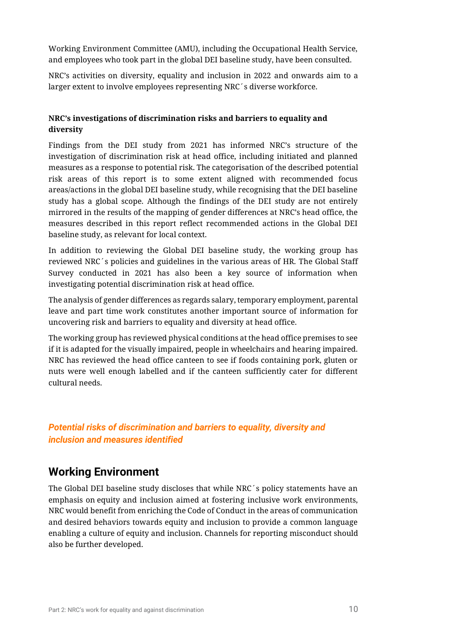Working Environment Committee (AMU), including the Occupational Health Service, and employees who took part in the global DEI baseline study, have been consulted.

NRC's activities on diversity, equality and inclusion in 2022 and onwards aim to a larger extent to involve employees representing NRC´s diverse workforce.

#### **NRC's investigations of discrimination risks and barriers to equality and diversity**

Findings from the DEI study from 2021 has informed NRC's structure of the investigation of discrimination risk at head office, including initiated and planned measures as a response to potential risk. The categorisation of the described potential risk areas of this report is to some extent aligned with recommended focus areas/actions in the global DEI baseline study, while recognising that the DEI baseline study has a global scope. Although the findings of the DEI study are not entirely mirrored in the results of the mapping of gender differences at NRC's head office, the measures described in this report reflect recommended actions in the Global DEI baseline study, as relevant for local context.

In addition to reviewing the Global DEI baseline study, the working group has reviewed NRC´s policies and guidelines in the various areas of HR. The Global Staff Survey conducted in 2021 has also been a key source of information when investigating potential discrimination risk at head office.

The analysis of gender differences as regards salary, temporary employment, parental leave and part time work constitutes another important source of information for uncovering risk and barriers to equality and diversity at head office.

The working group has reviewed physical conditions at the head office premises to see if it is adapted for the visually impaired, people in wheelchairs and hearing impaired. NRC has reviewed the head office canteen to see if foods containing pork, gluten or nuts were well enough labelled and if the canteen sufficiently cater for different cultural needs.

#### *Potential risks of discrimination and barriers to equality, diversity and inclusion and measures identified*

#### **Working Environment**

The Global DEI baseline study discloses that while NRC´s policy statements have an emphasis on equity and inclusion aimed at fostering inclusive work environments, NRC would benefit from enriching the Code of Conduct in the areas of communication and desired behaviors towards equity and inclusion to provide a common language enabling a culture of equity and inclusion. Channels for reporting misconduct should also be further developed.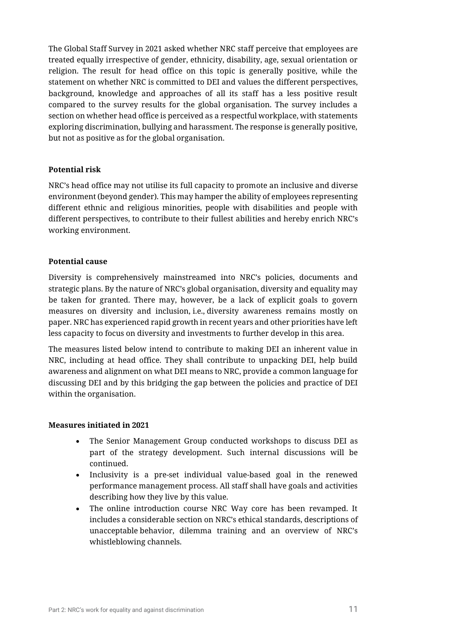The Global Staff Survey in 2021 asked whether NRC staff perceive that employees are treated equally irrespective of gender, ethnicity, disability, age, sexual orientation or religion. The result for head office on this topic is generally positive, while the statement on whether NRC is committed to DEI and values the different perspectives, background, knowledge and approaches of all its staff has a less positive result compared to the survey results for the global organisation. The survey includes a section on whether head office is perceived as a respectful workplace, with statements exploring discrimination, bullying and harassment. The response is generally positive, but not as positive as for the global organisation.

#### **Potential risk**

NRC's head office may not utilise its full capacity to promote an inclusive and diverse environment (beyond gender). This may hamper the ability of employees representing different ethnic and religious minorities, people with disabilities and people with different perspectives, to contribute to their fullest abilities and hereby enrich NRC's working environment.

#### **Potential cause**

Diversity is comprehensively mainstreamed into NRC's policies, documents and strategic plans. By the nature of NRC's global organisation, diversity and equality may be taken for granted. There may, however, be a lack of explicit goals to govern measures on diversity and inclusion, i.e., diversity awareness remains mostly on paper. NRC has experienced rapid growth in recent years and other priorities have left less capacity to focus on diversity and investments to further develop in this area.

The measures listed below intend to contribute to making DEI an inherent value in NRC, including at head office. They shall contribute to unpacking DEI, help build awareness and alignment on what DEI means to NRC, provide a common language for discussing DEI and by this bridging the gap between the policies and practice of DEI within the organisation.

#### **Measures initiated in 2021**

- The Senior Management Group conducted workshops to discuss DEI as part of the strategy development. Such internal discussions will be continued.
- Inclusivity is a pre-set individual value-based goal in the renewed performance management process. All staff shall have goals and activities describing how they live by this value.
- The online introduction course NRC Way core has been revamped. It includes a considerable section on NRC's ethical standards, descriptions of unacceptable behavior, dilemma training and an overview of NRC's whistleblowing channels.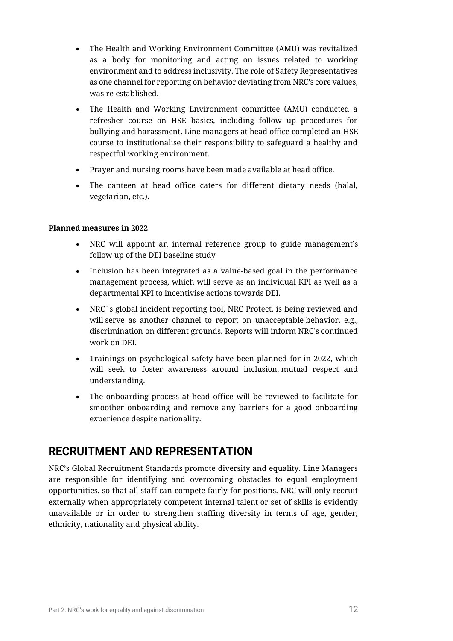- The Health and Working Environment Committee (AMU) was revitalized as a body for monitoring and acting on issues related to working environment and to address inclusivity. The role of Safety Representatives as one channel for reporting on behavior deviating from NRC's core values, was re-established.
- The Health and Working Environment committee (AMU) conducted a refresher course on HSE basics, including follow up procedures for bullying and harassment. Line managers at head office completed an HSE course to institutionalise their responsibility to safeguard a healthy and respectful working environment.
- Prayer and nursing rooms have been made available at head office.
- The canteen at head office caters for different dietary needs (halal, vegetarian, etc.).

#### **Planned measures in 2022**

- NRC will appoint an internal reference group to guide management's follow up of the DEI baseline study
- Inclusion has been integrated as a value-based goal in the performance management process, which will serve as an individual KPI as well as a departmental KPI to incentivise actions towards DEI.
- NRC´s global incident reporting tool, NRC Protect, is being reviewed and will serve as another channel to report on unacceptable behavior, e.g., discrimination on different grounds. Reports will inform NRC's continued work on DEI.
- Trainings on psychological safety have been planned for in 2022, which will seek to foster awareness around inclusion, mutual respect and understanding.
- The onboarding process at head office will be reviewed to facilitate for smoother onboarding and remove any barriers for a good onboarding experience despite nationality.

### **RECRUITMENT AND REPRESENTATION**

NRC's Global Recruitment Standards promote diversity and equality. Line Managers are responsible for identifying and overcoming obstacles to equal employment opportunities, so that all staff can compete fairly for positions. NRC will only recruit externally when appropriately competent internal talent or set of skills is evidently unavailable or in order to strengthen staffing diversity in terms of age, gender, ethnicity, nationality and physical ability.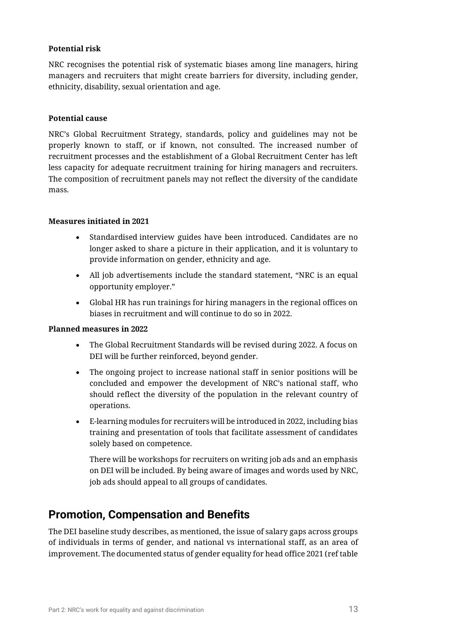#### **Potential risk**

NRC recognises the potential risk of systematic biases among line managers, hiring managers and recruiters that might create barriers for diversity, including gender, ethnicity, disability, sexual orientation and age.

#### **Potential cause**

NRC's Global Recruitment Strategy, standards, policy and guidelines may not be properly known to staff, or if known, not consulted. The increased number of recruitment processes and the establishment of a Global Recruitment Center has left less capacity for adequate recruitment training for hiring managers and recruiters. The composition of recruitment panels may not reflect the diversity of the candidate mass.

#### **Measures initiated in 2021**

- Standardised interview guides have been introduced. Candidates are no longer asked to share a picture in their application, and it is voluntary to provide information on gender, ethnicity and age.
- All job advertisements include the standard statement, "NRC is an equal opportunity employer."
- Global HR has run trainings for hiring managers in the regional offices on biases in recruitment and will continue to do so in 2022.

#### **Planned measures in 2022**

- The Global Recruitment Standards will be revised during 2022. A focus on DEI will be further reinforced, beyond gender.
- The ongoing project to increase national staff in senior positions will be concluded and empower the development of NRC's national staff, who should reflect the diversity of the population in the relevant country of operations.
- E-learning modules for recruiters will be introduced in 2022, including bias training and presentation of tools that facilitate assessment of candidates solely based on competence.

There will be workshops for recruiters on writing job ads and an emphasis on DEI will be included. By being aware of images and words used by NRC, job ads should appeal to all groups of candidates.

#### **Promotion, Compensation and Benefits**

The DEI baseline study describes, as mentioned, the issue of salary gaps across groups of individuals in terms of gender, and national vs international staff, as an area of improvement. The documented status of gender equality for head office 2021 (ref table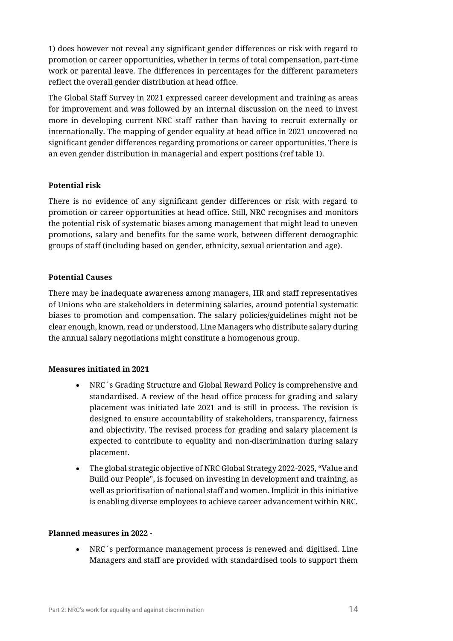1) does however not reveal any significant gender differences or risk with regard to promotion or career opportunities, whether in terms of total compensation, part-time work or parental leave. The differences in percentages for the different parameters reflect the overall gender distribution at head office.

The Global Staff Survey in 2021 expressed career development and training as areas for improvement and was followed by an internal discussion on the need to invest more in developing current NRC staff rather than having to recruit externally or internationally. The mapping of gender equality at head office in 2021 uncovered no significant gender differences regarding promotions or career opportunities. There is an even gender distribution in managerial and expert positions (ref table 1).

#### **Potential risk**

There is no evidence of any significant gender differences or risk with regard to promotion or career opportunities at head office. Still, NRC recognises and monitors the potential risk of systematic biases among management that might lead to uneven promotions, salary and benefits for the same work, between different demographic groups of staff (including based on gender, ethnicity, sexual orientation and age).

#### **Potential Causes**

There may be inadequate awareness among managers, HR and staff representatives of Unions who are stakeholders in determining salaries, around potential systematic biases to promotion and compensation. The salary policies/guidelines might not be clear enough, known, read or understood. Line Managers who distribute salary during the annual salary negotiations might constitute a homogenous group.

#### **Measures initiated in 2021**

- NRC´s Grading Structure and Global Reward Policy is comprehensive and standardised. A review of the head office process for grading and salary placement was initiated late 2021 and is still in process. The revision is designed to ensure accountability of stakeholders, transparency, fairness and objectivity. The revised process for grading and salary placement is expected to contribute to equality and non-discrimination during salary placement.
- The global strategic objective of NRC Global Strategy 2022-2025, "Value and Build our People", is focused on investing in development and training, as well as prioritisation of national staff and women. Implicit in this initiative is enabling diverse employees to achieve career advancement within NRC.

#### **Planned measures in 2022 -**

NRC´s performance management process is renewed and digitised. Line Managers and staff are provided with standardised tools to support them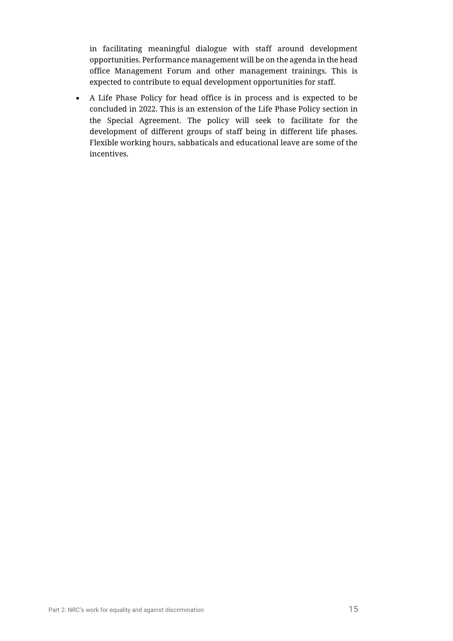in facilitating meaningful dialogue with staff around development opportunities. Performance management will be on the agenda in the head office Management Forum and other management trainings. This is expected to contribute to equal development opportunities for staff.

• A Life Phase Policy for head office is in process and is expected to be concluded in 2022. This is an extension of the Life Phase Policy section in the Special Agreement. The policy will seek to facilitate for the development of different groups of staff being in different life phases. Flexible working hours, sabbaticals and educational leave are some of the incentives.